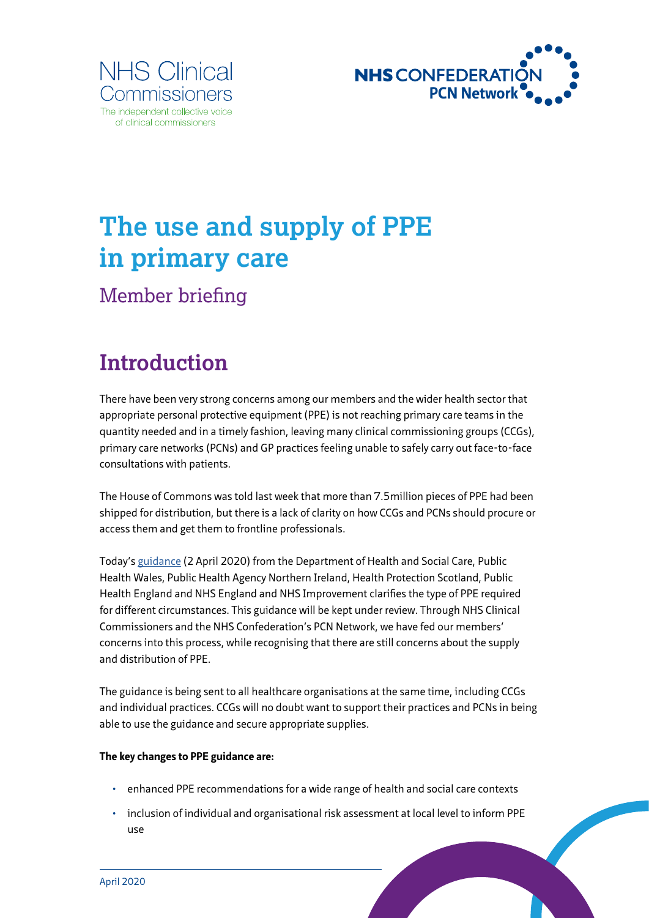



# **The use and supply of PPE in primary care**

Member briefing

# **Introduction**

There have been very strong concerns among our members and the wider health sector that appropriate personal protective equipment (PPE) is not reaching primary care teams in the quantity needed and in a timely fashion, leaving many clinical commissioning groups (CCGs), primary care networks (PCNs) and GP practices feeling unable to safely carry out face-to-face consultations with patients.

The House of Commons was told last week that more than 7.5million pieces of PPE had been shipped for distribution, but there is a lack of clarity on how CCGs and PCNs should procure or access them and get them to frontline professionals.

Today's [guidance](https://www.gov.uk/government/publications/wuhan-novel-coronavirus-infection-prevention-and-control/covid-19-personal-protective-equipment-ppe) (2 April 2020) from the Department of Health and Social Care, Public Health Wales, Public Health Agency Northern Ireland, Health Protection Scotland, Public Health England and NHS England and NHS Improvement clarifies the type of PPE required for different circumstances. This guidance will be kept under review. Through NHS Clinical Commissioners and the NHS Confederation's PCN Network, we have fed our members' concerns into this process, while recognising that there are still concerns about the supply and distribution of PPE.

The guidance is being sent to all healthcare organisations at the same time, including CCGs and individual practices. CCGs will no doubt want to support their practices and PCNs in being able to use the guidance and secure appropriate supplies.

#### **The key changes to PPE guidance are:**

- enhanced PPE recommendations for a wide range of health and social care contexts
- inclusion of individual and organisational risk assessment at local level to inform PPE use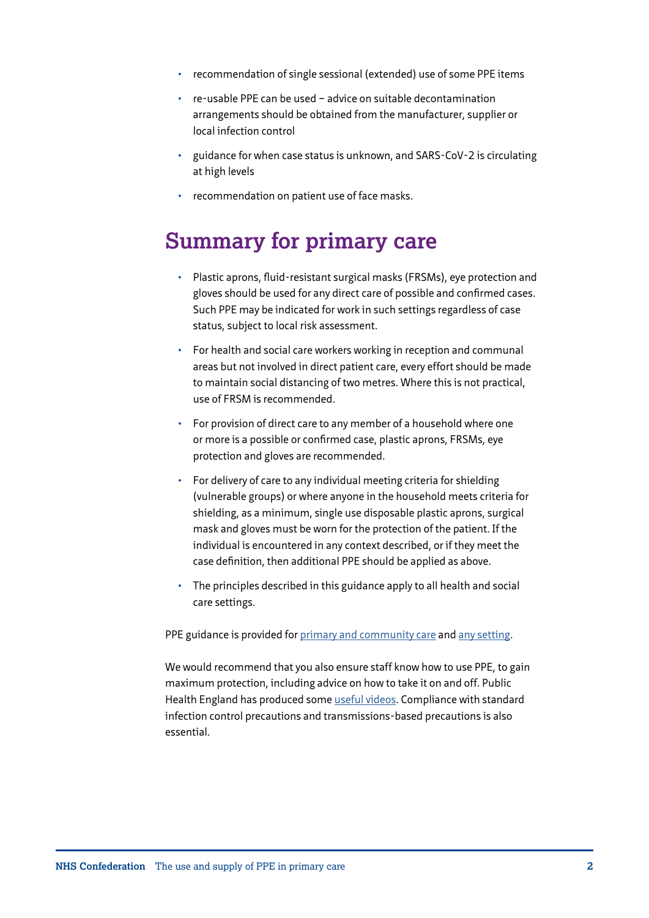- recommendation of single sessional (extended) use of some PPE items
- re-usable PPE can be used advice on suitable decontamination arrangements should be obtained from the manufacturer, supplier or local infection control
- guidance for when case status is unknown, and SARS-CoV-2 is circulating at high levels
- recommendation on patient use of face masks.

### **Summary for primary care**

- Plastic aprons, fluid-resistant surgical masks (FRSMs), eye protection and gloves should be used for any direct care of possible and confirmed cases. Such PPE may be indicated for work in such settings regardless of case status, subject to local risk assessment.
- For health and social care workers working in reception and communal areas but not involved in direct patient care, every effort should be made to maintain social distancing of two metres. Where this is not practical, use of FRSM is recommended.
- For provision of direct care to any member of a household where one or more is a possible or confirmed case, plastic aprons, FRSMs, eye protection and gloves are recommended.
- For delivery of care to any individual meeting criteria for shielding (vulnerable groups) or where anyone in the household meets criteria for shielding, as a minimum, single use disposable plastic aprons, surgical mask and gloves must be worn for the protection of the patient. If the individual is encountered in any context described, or if they meet the case definition, then additional PPE should be applied as above.
- The principles described in this guidance apply to all health and social care settings.

PPE guidance is provided for [primary and community care](https://assets.publishing.service.gov.uk/government/uploads/system/uploads/attachment_data/file/877599/T2_Recommended_PPE_for_primary_outpatient_and_community_care_by_setting_poster.pdf) and [any setting](https://assets.publishing.service.gov.uk/government/uploads/system/uploads/attachment_data/file/877603/T4_Additional_considerations_of_COVID-19_poster.pdf).

We would recommend that you also ensure staff know how to use PPE, to gain maximum protection, including advice on how to take it on and off. Public Health England has produced some [useful videos](https://www.youtube.com/user/PublicHealthEngland). Compliance with standard infection control precautions and transmissions-based precautions is also essential.